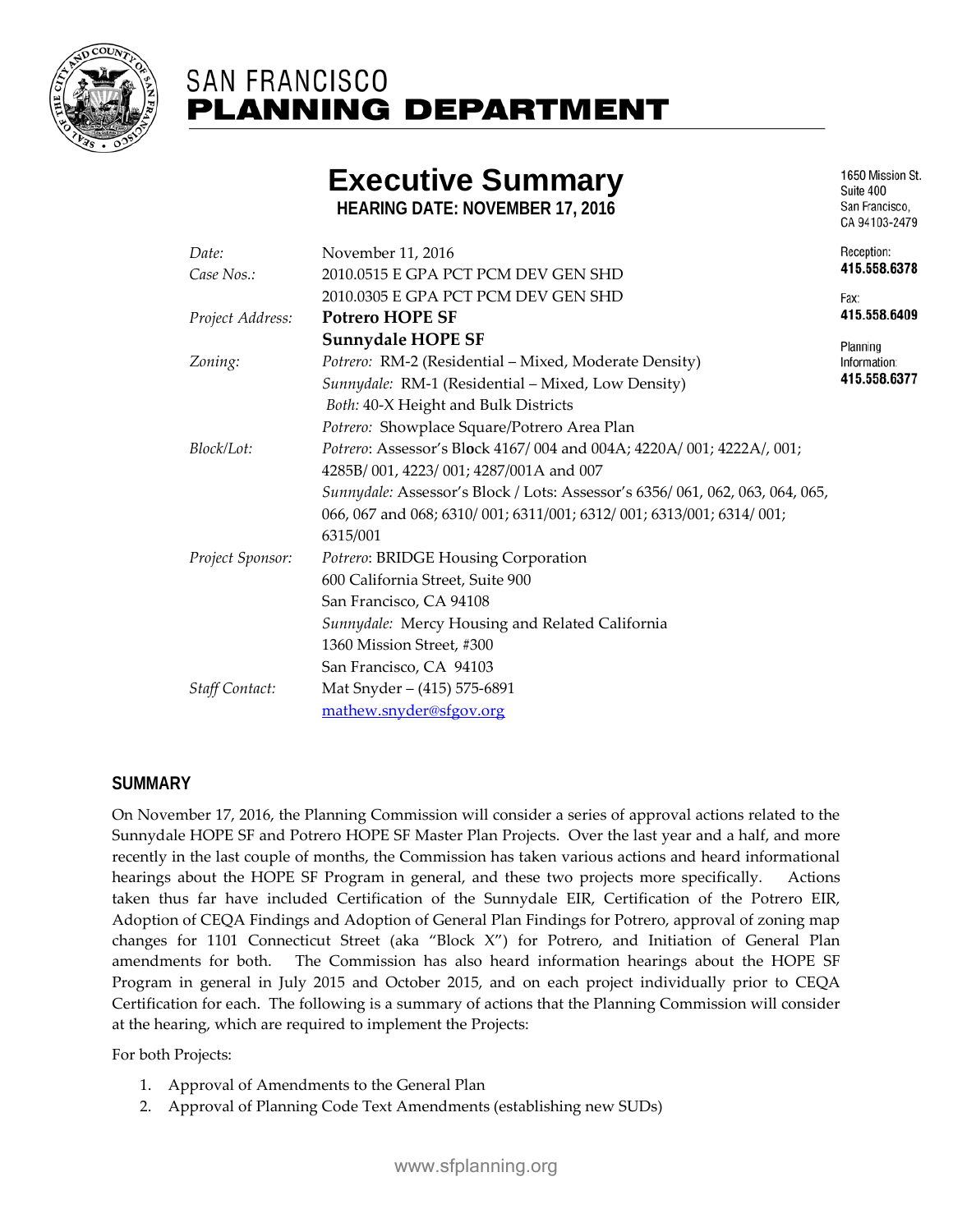

# **SAN FRANCISCO PLANNING DEPARTMENT**

# **Executive Summary**

**HEARING DATE: NOVEMBER 17, 2016**

| Date:            | November 11, 2016                                                                                           |          |  |
|------------------|-------------------------------------------------------------------------------------------------------------|----------|--|
| Case Nos.:       | 2010.0515 E GPA PCT PCM DEV GEN SHD                                                                         |          |  |
|                  | 2010.0305 E GPA PCT PCM DEV GEN SHD                                                                         | Fax:     |  |
| Project Address: | <b>Potrero HOPE SF</b>                                                                                      |          |  |
|                  | Sunnydale HOPE SF                                                                                           | Planning |  |
| Zoning:          | Potrero: RM-2 (Residential – Mixed, Moderate Density)<br>Sunnydale: RM-1 (Residential - Mixed, Low Density) |          |  |
|                  |                                                                                                             |          |  |
|                  | Potrero: Showplace Square/Potrero Area Plan                                                                 |          |  |
| Block/Lot:       | Potrero: Assessor's Block 4167/004 and 004A; 4220A/001; 4222A/, 001;                                        |          |  |
|                  | 4285B/001, 4223/001; 4287/001A and 007                                                                      |          |  |
|                  | Sunnydale: Assessor's Block / Lots: Assessor's 6356/061, 062, 063, 064, 065,                                |          |  |
|                  | 066, 067 and 068; 6310/ 001; 6311/001; 6312/ 001; 6313/001; 6314/ 001;                                      |          |  |
|                  | 6315/001                                                                                                    |          |  |
| Project Sponsor: | Potrero: BRIDGE Housing Corporation                                                                         |          |  |
|                  | 600 California Street, Suite 900                                                                            |          |  |
|                  | San Francisco, CA 94108                                                                                     |          |  |
|                  | Sunnydale: Mercy Housing and Related California                                                             |          |  |
|                  | 1360 Mission Street, #300                                                                                   |          |  |
|                  | San Francisco, CA 94103                                                                                     |          |  |
| Staff Contact:   | Mat Snyder – (415) 575-6891                                                                                 |          |  |
|                  | mathew.snyder@sfgov.org                                                                                     |          |  |

# **SUMMARY**

On November 17, 2016, the Planning Commission will consider a series of approval actions related to the Sunnydale HOPE SF and Potrero HOPE SF Master Plan Projects. Over the last year and a half, and more recently in the last couple of months, the Commission has taken various actions and heard informational hearings about the HOPE SF Program in general, and these two projects more specifically. Actions taken thus far have included Certification of the Sunnydale EIR, Certification of the Potrero EIR, Adoption of CEQA Findings and Adoption of General Plan Findings for Potrero, approval of zoning map changes for 1101 Connecticut Street (aka "Block X") for Potrero, and Initiation of General Plan amendments for both. The Commission has also heard information hearings about the HOPE SF Program in general in July 2015 and October 2015, and on each project individually prior to CEQA Certification for each. The following is a summary of actions that the Planning Commission will consider at the hearing, which are required to implement the Projects:

For both Projects:

- 1. Approval of Amendments to the General Plan
- 2. Approval of Planning Code Text Amendments (establishing new SUDs)

Suite 400 San Francisco. CA 94103-2479

6378

1650 Mission St.

6409

6377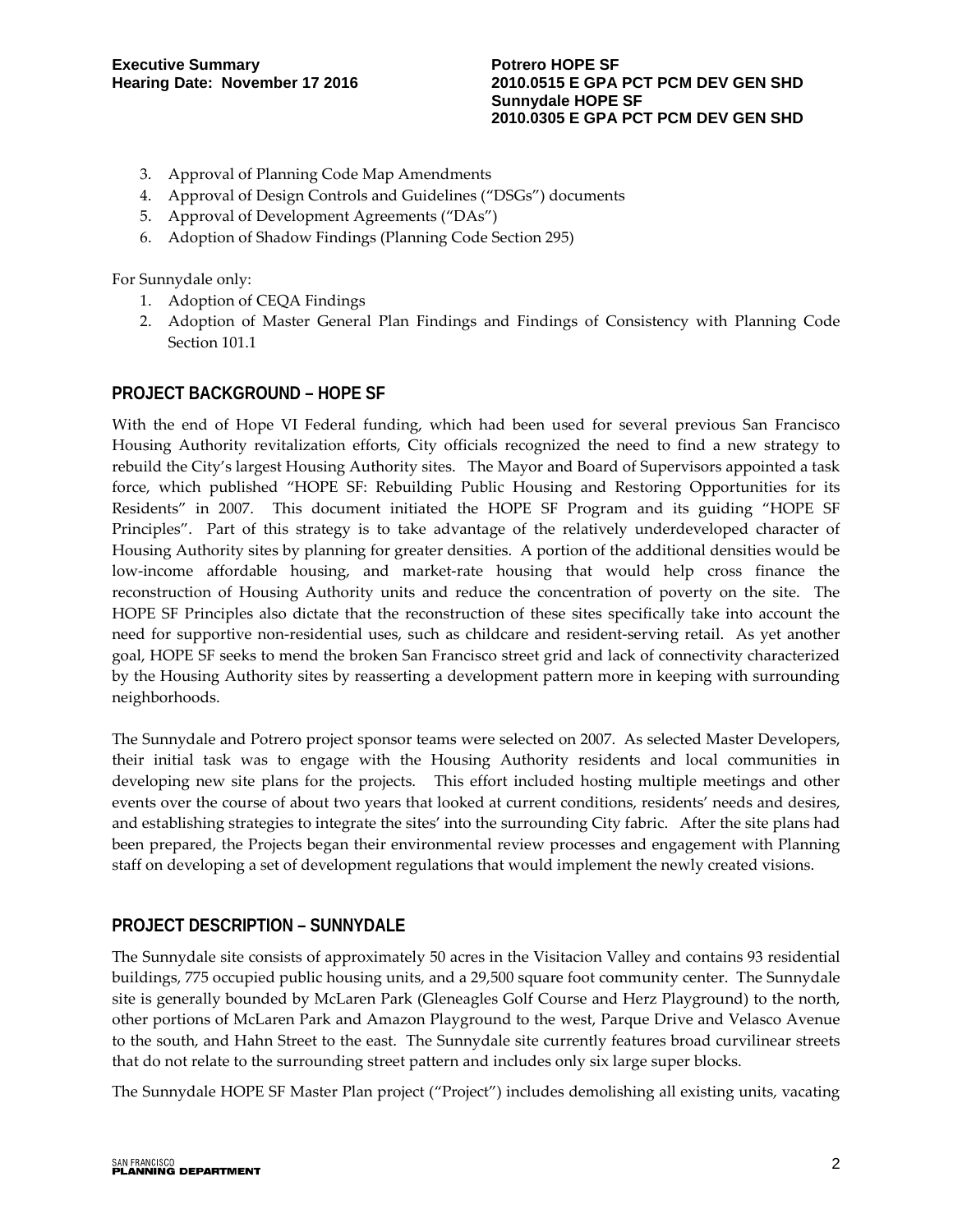- 3. Approval of Planning Code Map Amendments
- 4. Approval of Design Controls and Guidelines ("DSGs") documents
- 5. Approval of Development Agreements ("DAs")
- 6. Adoption of Shadow Findings (Planning Code Section 295)

For Sunnydale only:

- 1. Adoption of CEQA Findings
- 2. Adoption of Master General Plan Findings and Findings of Consistency with Planning Code Section 101.1

# **PROJECT BACKGROUND – HOPE SF**

With the end of Hope VI Federal funding, which had been used for several previous San Francisco Housing Authority revitalization efforts, City officials recognized the need to find a new strategy to rebuild the City's largest Housing Authority sites. The Mayor and Board of Supervisors appointed a task force, which published "HOPE SF: Rebuilding Public Housing and Restoring Opportunities for its Residents" in 2007. This document initiated the HOPE SF Program and its guiding "HOPE SF Principles". Part of this strategy is to take advantage of the relatively underdeveloped character of Housing Authority sites by planning for greater densities. A portion of the additional densities would be low-income affordable housing, and market-rate housing that would help cross finance the reconstruction of Housing Authority units and reduce the concentration of poverty on the site. The HOPE SF Principles also dictate that the reconstruction of these sites specifically take into account the need for supportive non-residential uses, such as childcare and resident-serving retail. As yet another goal, HOPE SF seeks to mend the broken San Francisco street grid and lack of connectivity characterized by the Housing Authority sites by reasserting a development pattern more in keeping with surrounding neighborhoods.

The Sunnydale and Potrero project sponsor teams were selected on 2007. As selected Master Developers, their initial task was to engage with the Housing Authority residents and local communities in developing new site plans for the projects. This effort included hosting multiple meetings and other events over the course of about two years that looked at current conditions, residents' needs and desires, and establishing strategies to integrate the sites' into the surrounding City fabric. After the site plans had been prepared, the Projects began their environmental review processes and engagement with Planning staff on developing a set of development regulations that would implement the newly created visions.

#### **PROJECT DESCRIPTION – SUNNYDALE**

The Sunnydale site consists of approximately 50 acres in the Visitacion Valley and contains 93 residential buildings, 775 occupied public housing units, and a 29,500 square foot community center. The Sunnydale site is generally bounded by McLaren Park (Gleneagles Golf Course and Herz Playground) to the north, other portions of McLaren Park and Amazon Playground to the west, Parque Drive and Velasco Avenue to the south, and Hahn Street to the east. The Sunnydale site currently features broad curvilinear streets that do not relate to the surrounding street pattern and includes only six large super blocks.

The Sunnydale HOPE SF Master Plan project ("Project") includes demolishing all existing units, vacating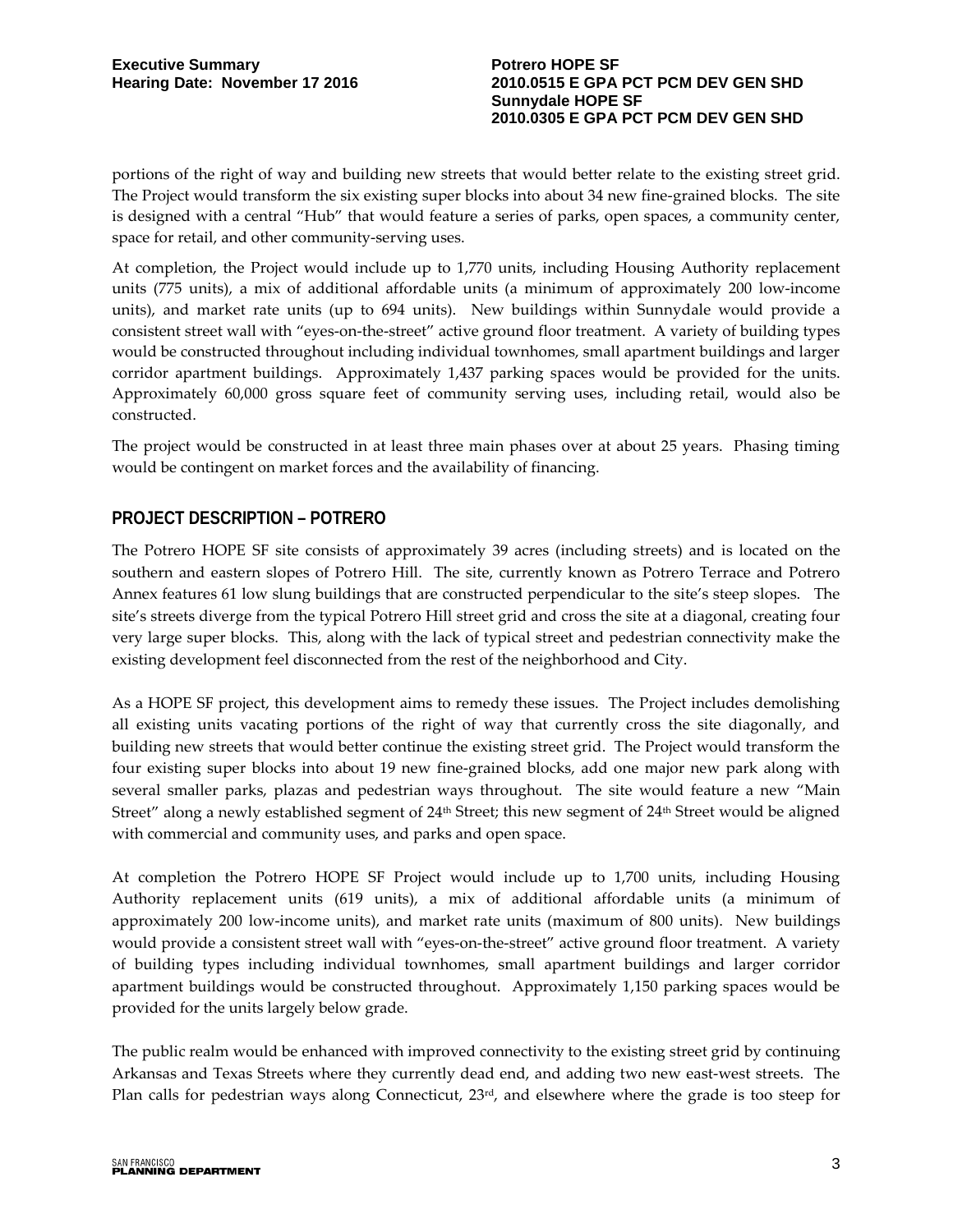portions of the right of way and building new streets that would better relate to the existing street grid. The Project would transform the six existing super blocks into about 34 new fine-grained blocks. The site is designed with a central "Hub" that would feature a series of parks, open spaces, a community center, space for retail, and other community-serving uses.

At completion, the Project would include up to 1,770 units, including Housing Authority replacement units (775 units), a mix of additional affordable units (a minimum of approximately 200 low-income units), and market rate units (up to 694 units). New buildings within Sunnydale would provide a consistent street wall with "eyes-on-the-street" active ground floor treatment. A variety of building types would be constructed throughout including individual townhomes, small apartment buildings and larger corridor apartment buildings. Approximately 1,437 parking spaces would be provided for the units. Approximately 60,000 gross square feet of community serving uses, including retail, would also be constructed.

The project would be constructed in at least three main phases over at about 25 years. Phasing timing would be contingent on market forces and the availability of financing.

# **PROJECT DESCRIPTION – POTRERO**

The Potrero HOPE SF site consists of approximately 39 acres (including streets) and is located on the southern and eastern slopes of Potrero Hill. The site, currently known as Potrero Terrace and Potrero Annex features 61 low slung buildings that are constructed perpendicular to the site's steep slopes. The site's streets diverge from the typical Potrero Hill street grid and cross the site at a diagonal, creating four very large super blocks. This, along with the lack of typical street and pedestrian connectivity make the existing development feel disconnected from the rest of the neighborhood and City.

As a HOPE SF project, this development aims to remedy these issues. The Project includes demolishing all existing units vacating portions of the right of way that currently cross the site diagonally, and building new streets that would better continue the existing street grid. The Project would transform the four existing super blocks into about 19 new fine-grained blocks, add one major new park along with several smaller parks, plazas and pedestrian ways throughout. The site would feature a new "Main Street" along a newly established segment of 24<sup>th</sup> Street; this new segment of 24<sup>th</sup> Street would be aligned with commercial and community uses, and parks and open space.

At completion the Potrero HOPE SF Project would include up to 1,700 units, including Housing Authority replacement units (619 units), a mix of additional affordable units (a minimum of approximately 200 low-income units), and market rate units (maximum of 800 units). New buildings would provide a consistent street wall with "eyes-on-the-street" active ground floor treatment. A variety of building types including individual townhomes, small apartment buildings and larger corridor apartment buildings would be constructed throughout. Approximately 1,150 parking spaces would be provided for the units largely below grade.

The public realm would be enhanced with improved connectivity to the existing street grid by continuing Arkansas and Texas Streets where they currently dead end, and adding two new east-west streets. The Plan calls for pedestrian ways along Connecticut, 23<sup>rd</sup>, and elsewhere where the grade is too steep for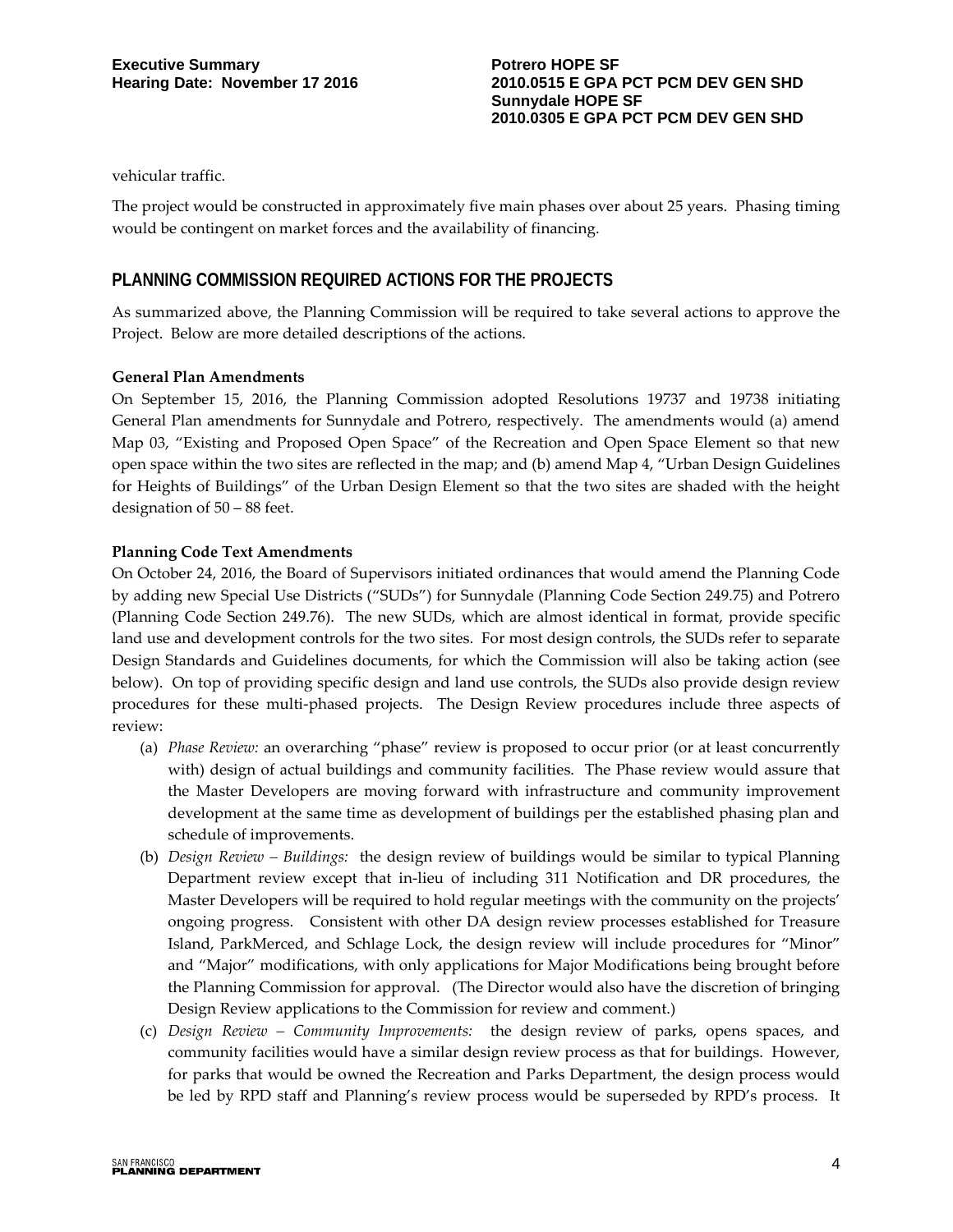vehicular traffic.

The project would be constructed in approximately five main phases over about 25 years. Phasing timing would be contingent on market forces and the availability of financing.

## **PLANNING COMMISSION REQUIRED ACTIONS FOR THE PROJECTS**

As summarized above, the Planning Commission will be required to take several actions to approve the Project. Below are more detailed descriptions of the actions.

#### **General Plan Amendments**

On September 15, 2016, the Planning Commission adopted Resolutions 19737 and 19738 initiating General Plan amendments for Sunnydale and Potrero, respectively. The amendments would (a) amend Map 03, "Existing and Proposed Open Space" of the Recreation and Open Space Element so that new open space within the two sites are reflected in the map; and (b) amend Map 4, "Urban Design Guidelines for Heights of Buildings" of the Urban Design Element so that the two sites are shaded with the height designation of 50 – 88 feet.

#### **Planning Code Text Amendments**

On October 24, 2016, the Board of Supervisors initiated ordinances that would amend the Planning Code by adding new Special Use Districts ("SUDs") for Sunnydale (Planning Code Section 249.75) and Potrero (Planning Code Section 249.76). The new SUDs, which are almost identical in format, provide specific land use and development controls for the two sites. For most design controls, the SUDs refer to separate Design Standards and Guidelines documents, for which the Commission will also be taking action (see below). On top of providing specific design and land use controls, the SUDs also provide design review procedures for these multi-phased projects. The Design Review procedures include three aspects of review:

- (a) *Phase Review:* an overarching "phase" review is proposed to occur prior (or at least concurrently with) design of actual buildings and community facilities. The Phase review would assure that the Master Developers are moving forward with infrastructure and community improvement development at the same time as development of buildings per the established phasing plan and schedule of improvements.
- (b) *Design Review – Buildings:* the design review of buildings would be similar to typical Planning Department review except that in-lieu of including 311 Notification and DR procedures, the Master Developers will be required to hold regular meetings with the community on the projects' ongoing progress. Consistent with other DA design review processes established for Treasure Island, ParkMerced, and Schlage Lock, the design review will include procedures for "Minor" and "Major" modifications, with only applications for Major Modifications being brought before the Planning Commission for approval. (The Director would also have the discretion of bringing Design Review applications to the Commission for review and comment.)
- (c) *Design Review – Community Improvements:* the design review of parks, opens spaces, and community facilities would have a similar design review process as that for buildings. However, for parks that would be owned the Recreation and Parks Department, the design process would be led by RPD staff and Planning's review process would be superseded by RPD's process. It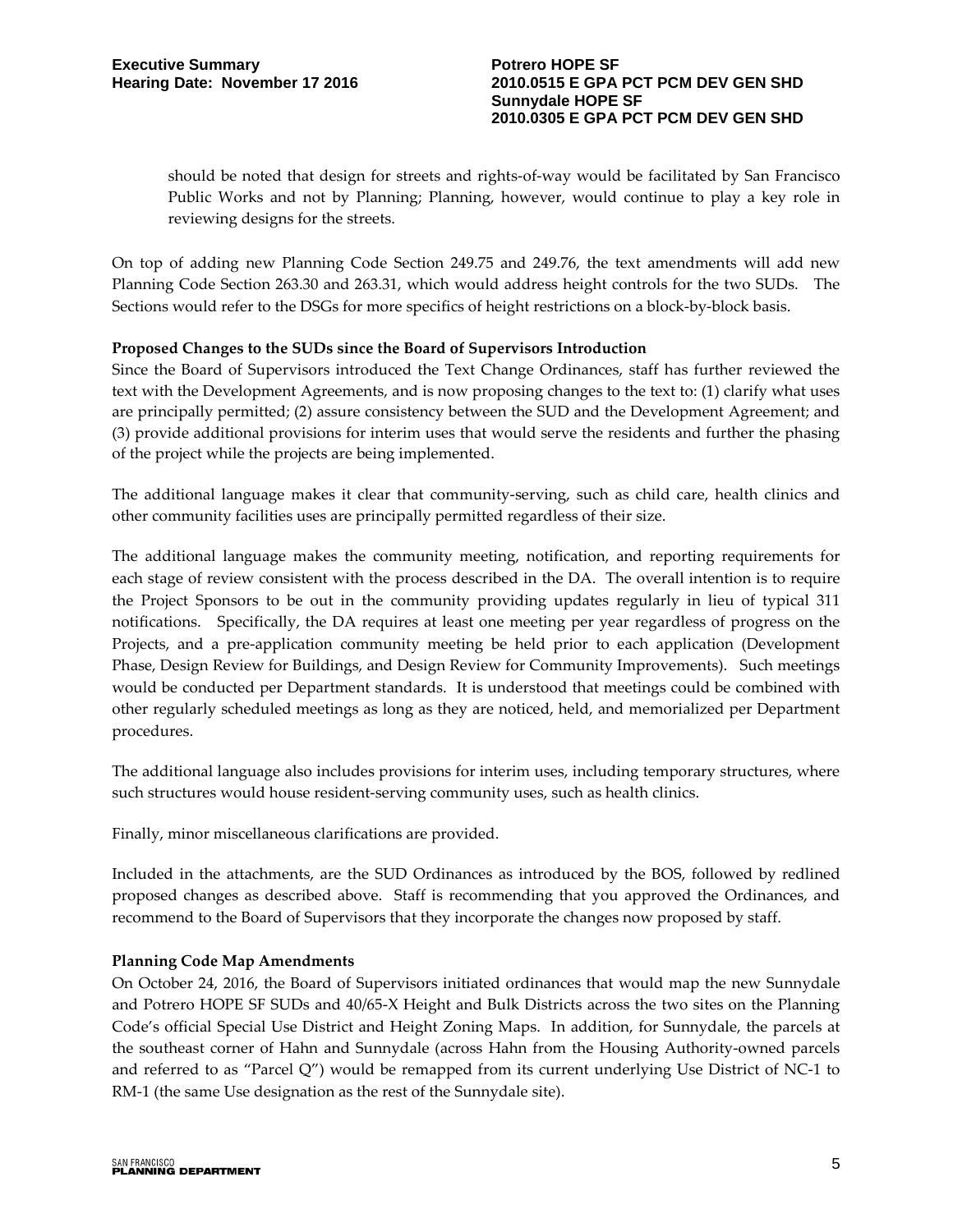should be noted that design for streets and rights-of-way would be facilitated by San Francisco Public Works and not by Planning; Planning, however, would continue to play a key role in reviewing designs for the streets.

On top of adding new Planning Code Section 249.75 and 249.76, the text amendments will add new Planning Code Section 263.30 and 263.31, which would address height controls for the two SUDs. The Sections would refer to the DSGs for more specifics of height restrictions on a block-by-block basis.

#### **Proposed Changes to the SUDs since the Board of Supervisors Introduction**

Since the Board of Supervisors introduced the Text Change Ordinances, staff has further reviewed the text with the Development Agreements, and is now proposing changes to the text to: (1) clarify what uses are principally permitted; (2) assure consistency between the SUD and the Development Agreement; and (3) provide additional provisions for interim uses that would serve the residents and further the phasing of the project while the projects are being implemented.

The additional language makes it clear that community-serving, such as child care, health clinics and other community facilities uses are principally permitted regardless of their size.

The additional language makes the community meeting, notification, and reporting requirements for each stage of review consistent with the process described in the DA. The overall intention is to require the Project Sponsors to be out in the community providing updates regularly in lieu of typical 311 notifications. Specifically, the DA requires at least one meeting per year regardless of progress on the Projects, and a pre-application community meeting be held prior to each application (Development Phase, Design Review for Buildings, and Design Review for Community Improvements). Such meetings would be conducted per Department standards. It is understood that meetings could be combined with other regularly scheduled meetings as long as they are noticed, held, and memorialized per Department procedures.

The additional language also includes provisions for interim uses, including temporary structures, where such structures would house resident-serving community uses, such as health clinics.

Finally, minor miscellaneous clarifications are provided.

Included in the attachments, are the SUD Ordinances as introduced by the BOS, followed by redlined proposed changes as described above. Staff is recommending that you approved the Ordinances, and recommend to the Board of Supervisors that they incorporate the changes now proposed by staff.

#### **Planning Code Map Amendments**

On October 24, 2016, the Board of Supervisors initiated ordinances that would map the new Sunnydale and Potrero HOPE SF SUDs and 40/65-X Height and Bulk Districts across the two sites on the Planning Code's official Special Use District and Height Zoning Maps. In addition, for Sunnydale, the parcels at the southeast corner of Hahn and Sunnydale (across Hahn from the Housing Authority-owned parcels and referred to as "Parcel Q") would be remapped from its current underlying Use District of NC-1 to RM-1 (the same Use designation as the rest of the Sunnydale site).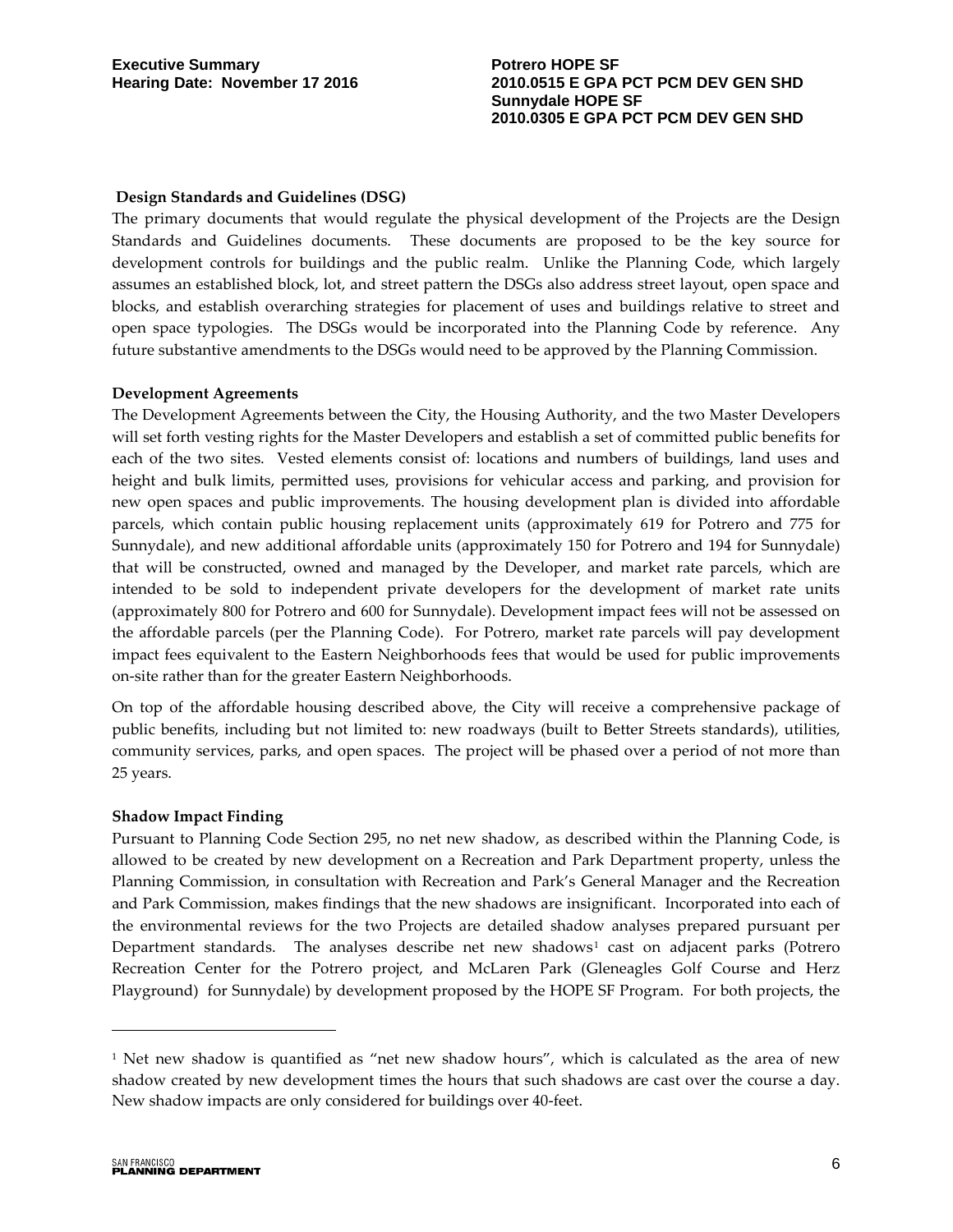#### **Design Standards and Guidelines (DSG)**

The primary documents that would regulate the physical development of the Projects are the Design Standards and Guidelines documents. These documents are proposed to be the key source for development controls for buildings and the public realm. Unlike the Planning Code, which largely assumes an established block, lot, and street pattern the DSGs also address street layout, open space and blocks, and establish overarching strategies for placement of uses and buildings relative to street and open space typologies. The DSGs would be incorporated into the Planning Code by reference. Any future substantive amendments to the DSGs would need to be approved by the Planning Commission.

#### **Development Agreements**

The Development Agreements between the City, the Housing Authority, and the two Master Developers will set forth vesting rights for the Master Developers and establish a set of committed public benefits for each of the two sites. Vested elements consist of: locations and numbers of buildings, land uses and height and bulk limits, permitted uses, provisions for vehicular access and parking, and provision for new open spaces and public improvements. The housing development plan is divided into affordable parcels, which contain public housing replacement units (approximately 619 for Potrero and 775 for Sunnydale), and new additional affordable units (approximately 150 for Potrero and 194 for Sunnydale) that will be constructed, owned and managed by the Developer, and market rate parcels, which are intended to be sold to independent private developers for the development of market rate units (approximately 800 for Potrero and 600 for Sunnydale). Development impact fees will not be assessed on the affordable parcels (per the Planning Code). For Potrero, market rate parcels will pay development impact fees equivalent to the Eastern Neighborhoods fees that would be used for public improvements on-site rather than for the greater Eastern Neighborhoods.

On top of the affordable housing described above, the City will receive a comprehensive package of public benefits, including but not limited to: new roadways (built to Better Streets standards), utilities, community services, parks, and open spaces. The project will be phased over a period of not more than 25 years.

#### **Shadow Impact Finding**

Pursuant to Planning Code Section 295, no net new shadow, as described within the Planning Code, is allowed to be created by new development on a Recreation and Park Department property, unless the Planning Commission, in consultation with Recreation and Park's General Manager and the Recreation and Park Commission, makes findings that the new shadows are insignificant. Incorporated into each of the environmental reviews for the two Projects are detailed shadow analyses prepared pursuant per Department standards. The analyses describe net new shadows<sup>[1](#page-5-0)</sup> cast on adjacent parks (Potrero Recreation Center for the Potrero project, and McLaren Park (Gleneagles Golf Course and Herz Playground) for Sunnydale) by development proposed by the HOPE SF Program. For both projects, the

 $\overline{a}$ 

<span id="page-5-0"></span><sup>&</sup>lt;sup>1</sup> Net new shadow is quantified as "net new shadow hours", which is calculated as the area of new shadow created by new development times the hours that such shadows are cast over the course a day. New shadow impacts are only considered for buildings over 40-feet.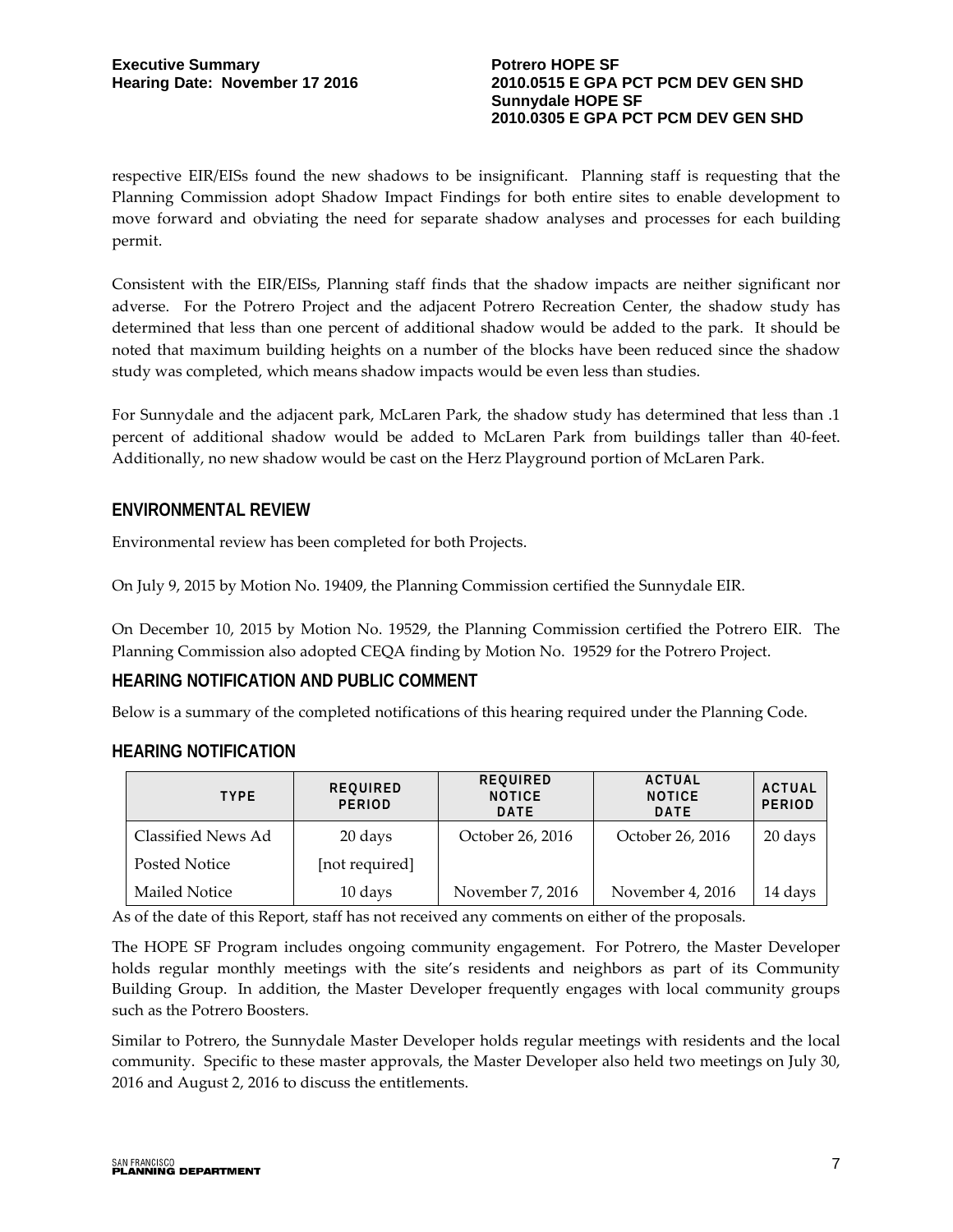respective EIR/EISs found the new shadows to be insignificant. Planning staff is requesting that the Planning Commission adopt Shadow Impact Findings for both entire sites to enable development to move forward and obviating the need for separate shadow analyses and processes for each building permit.

Consistent with the EIR/EISs, Planning staff finds that the shadow impacts are neither significant nor adverse. For the Potrero Project and the adjacent Potrero Recreation Center, the shadow study has determined that less than one percent of additional shadow would be added to the park. It should be noted that maximum building heights on a number of the blocks have been reduced since the shadow study was completed, which means shadow impacts would be even less than studies.

For Sunnydale and the adjacent park, McLaren Park, the shadow study has determined that less than .1 percent of additional shadow would be added to McLaren Park from buildings taller than 40-feet. Additionally, no new shadow would be cast on the Herz Playground portion of McLaren Park.

# **ENVIRONMENTAL REVIEW**

Environmental review has been completed for both Projects.

On July 9, 2015 by Motion No. 19409, the Planning Commission certified the Sunnydale EIR.

On December 10, 2015 by Motion No. 19529, the Planning Commission certified the Potrero EIR. The Planning Commission also adopted CEQA finding by Motion No. 19529 for the Potrero Project.

# **HEARING NOTIFICATION AND PUBLIC COMMENT**

Below is a summary of the completed notifications of this hearing required under the Planning Code.

# **HEARING NOTIFICATION**

| <b>TYPE</b>        | REQUIRED<br><b>PERIOD</b> | REQUIRED<br><b>NOTICE</b><br><b>DATE</b> | ACTUAL<br><b>NOTICE</b><br><b>DATE</b> | <b>ACTUAL</b><br><b>PERIOD</b> |
|--------------------|---------------------------|------------------------------------------|----------------------------------------|--------------------------------|
| Classified News Ad | 20 days                   | October 26, 2016                         | October 26, 2016                       | 20 days                        |
| Posted Notice      | [not required]            |                                          |                                        |                                |
| Mailed Notice      | 10 days                   | November 7, 2016                         | November 4, 2016                       | 14 days                        |

As of the date of this Report, staff has not received any comments on either of the proposals.

The HOPE SF Program includes ongoing community engagement. For Potrero, the Master Developer holds regular monthly meetings with the site's residents and neighbors as part of its Community Building Group. In addition, the Master Developer frequently engages with local community groups such as the Potrero Boosters.

Similar to Potrero, the Sunnydale Master Developer holds regular meetings with residents and the local community. Specific to these master approvals, the Master Developer also held two meetings on July 30, 2016 and August 2, 2016 to discuss the entitlements.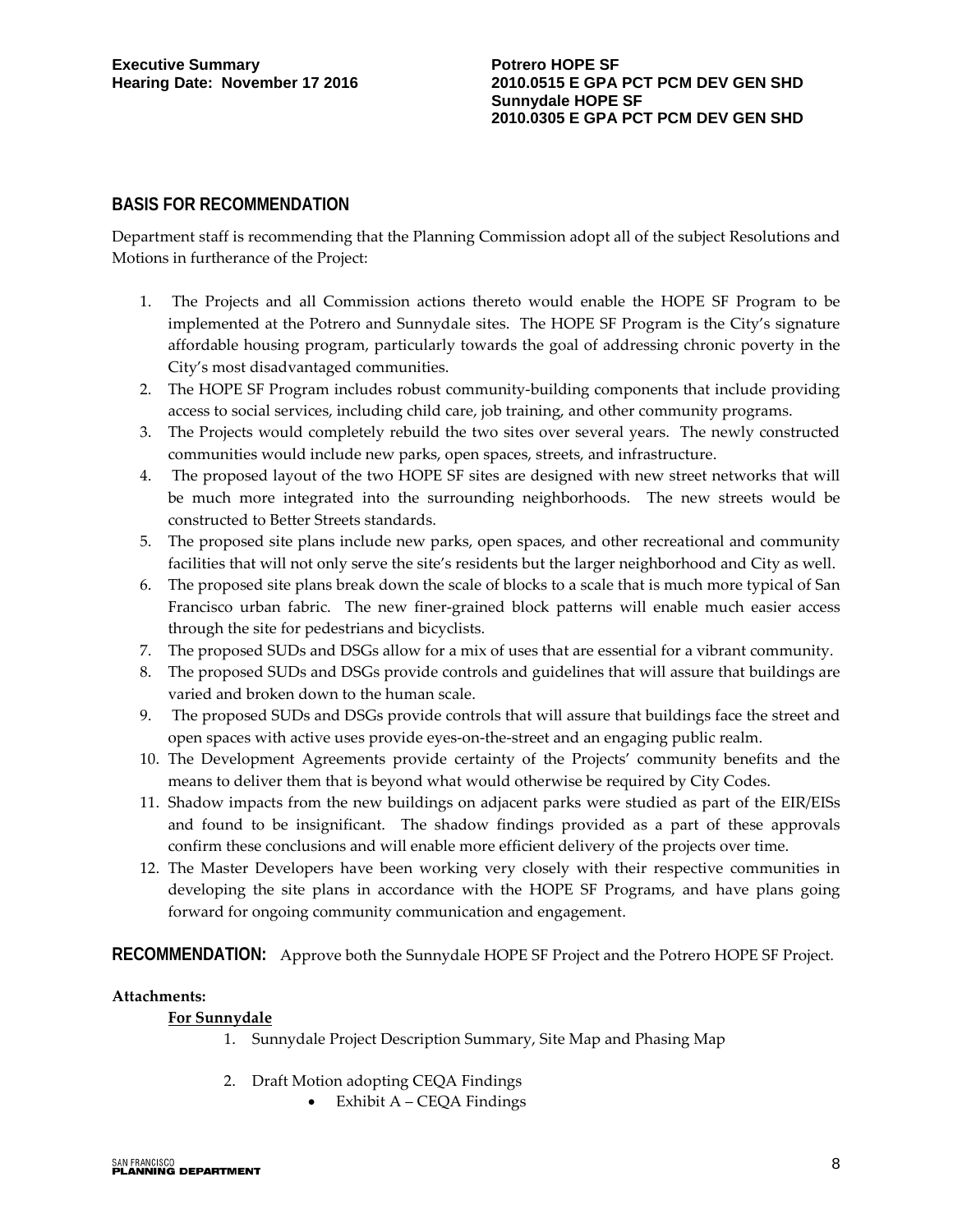### **BASIS FOR RECOMMENDATION**

Department staff is recommending that the Planning Commission adopt all of the subject Resolutions and Motions in furtherance of the Project:

- 1. The Projects and all Commission actions thereto would enable the HOPE SF Program to be implemented at the Potrero and Sunnydale sites. The HOPE SF Program is the City's signature affordable housing program, particularly towards the goal of addressing chronic poverty in the City's most disadvantaged communities.
- 2. The HOPE SF Program includes robust community-building components that include providing access to social services, including child care, job training, and other community programs.
- 3. The Projects would completely rebuild the two sites over several years. The newly constructed communities would include new parks, open spaces, streets, and infrastructure.
- 4. The proposed layout of the two HOPE SF sites are designed with new street networks that will be much more integrated into the surrounding neighborhoods. The new streets would be constructed to Better Streets standards.
- 5. The proposed site plans include new parks, open spaces, and other recreational and community facilities that will not only serve the site's residents but the larger neighborhood and City as well.
- 6. The proposed site plans break down the scale of blocks to a scale that is much more typical of San Francisco urban fabric. The new finer-grained block patterns will enable much easier access through the site for pedestrians and bicyclists.
- 7. The proposed SUDs and DSGs allow for a mix of uses that are essential for a vibrant community.
- 8. The proposed SUDs and DSGs provide controls and guidelines that will assure that buildings are varied and broken down to the human scale.
- 9. The proposed SUDs and DSGs provide controls that will assure that buildings face the street and open spaces with active uses provide eyes-on-the-street and an engaging public realm.
- 10. The Development Agreements provide certainty of the Projects' community benefits and the means to deliver them that is beyond what would otherwise be required by City Codes.
- 11. Shadow impacts from the new buildings on adjacent parks were studied as part of the EIR/EISs and found to be insignificant. The shadow findings provided as a part of these approvals confirm these conclusions and will enable more efficient delivery of the projects over time.
- 12. The Master Developers have been working very closely with their respective communities in developing the site plans in accordance with the HOPE SF Programs, and have plans going forward for ongoing community communication and engagement.

**RECOMMENDATION:** Approve both the Sunnydale HOPE SF Project and the Potrero HOPE SF Project.

#### **Attachments:**

#### **For Sunnydale**

- 1. Sunnydale Project Description Summary, Site Map and Phasing Map
- 2. Draft Motion adopting CEQA Findings
	- Exhibit A CEQA Findings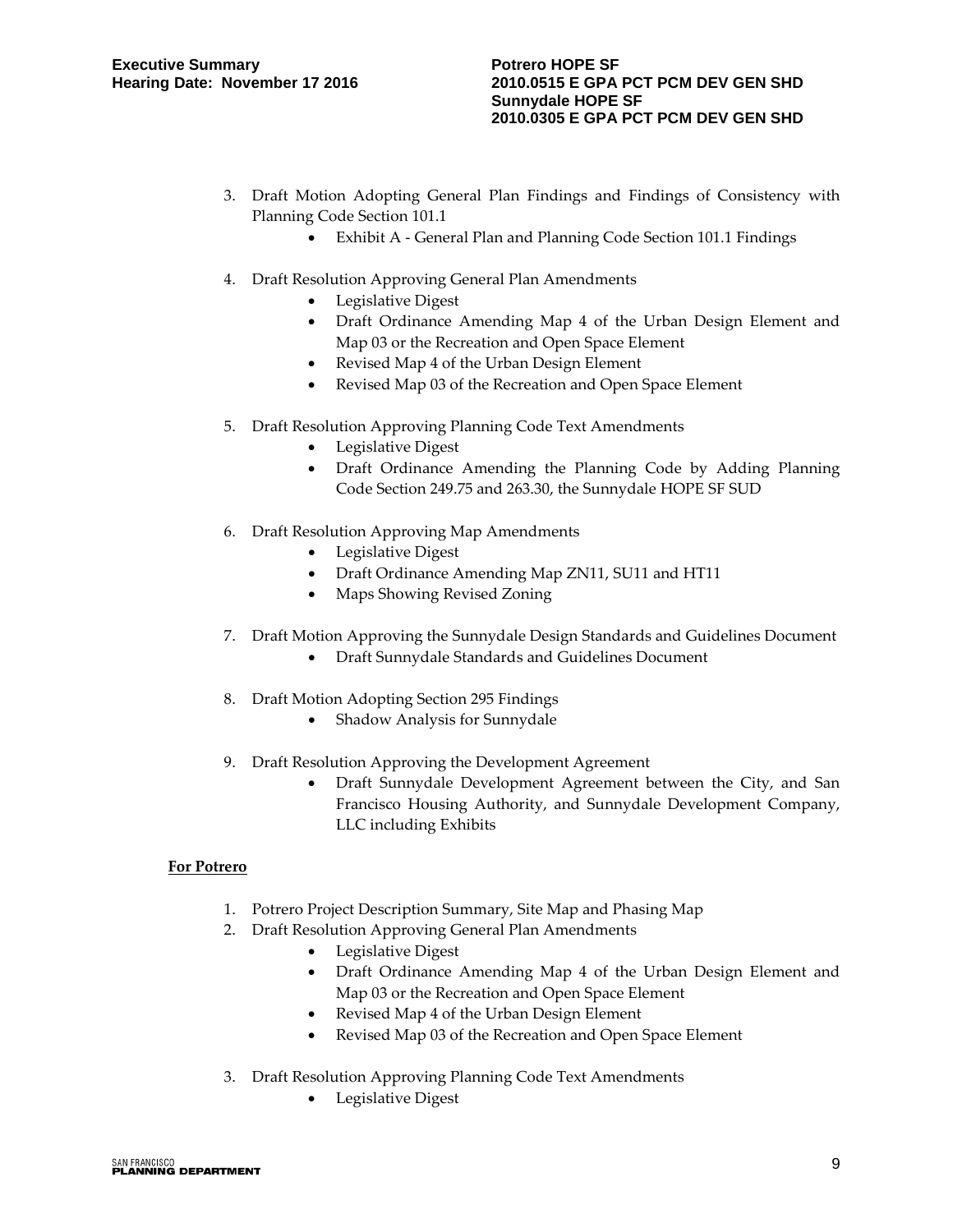- 3. Draft Motion Adopting General Plan Findings and Findings of Consistency with Planning Code Section 101.1
	- Exhibit A General Plan and Planning Code Section 101.1 Findings
- 4. Draft Resolution Approving General Plan Amendments
	- Legislative Digest
	- Draft Ordinance Amending Map 4 of the Urban Design Element and Map 03 or the Recreation and Open Space Element
	- Revised Map 4 of the Urban Design Element
	- Revised Map 03 of the Recreation and Open Space Element
- 5. Draft Resolution Approving Planning Code Text Amendments
	- Legislative Digest
	- Draft Ordinance Amending the Planning Code by Adding Planning Code Section 249.75 and 263.30, the Sunnydale HOPE SF SUD
- 6. Draft Resolution Approving Map Amendments
	- Legislative Digest
	- Draft Ordinance Amending Map ZN11, SU11 and HT11
	- Maps Showing Revised Zoning
- 7. Draft Motion Approving the Sunnydale Design Standards and Guidelines Document
	- Draft Sunnydale Standards and Guidelines Document
- 8. Draft Motion Adopting Section 295 Findings
	- Shadow Analysis for Sunnydale
- 9. Draft Resolution Approving the Development Agreement
	- Draft Sunnydale Development Agreement between the City, and San Francisco Housing Authority, and Sunnydale Development Company, LLC including Exhibits

#### **For Potrero**

- 1. Potrero Project Description Summary, Site Map and Phasing Map
- 2. Draft Resolution Approving General Plan Amendments
	- Legislative Digest
	- Draft Ordinance Amending Map 4 of the Urban Design Element and Map 03 or the Recreation and Open Space Element
	- Revised Map 4 of the Urban Design Element
	- Revised Map 03 of the Recreation and Open Space Element
- 3. Draft Resolution Approving Planning Code Text Amendments
	- Legislative Digest